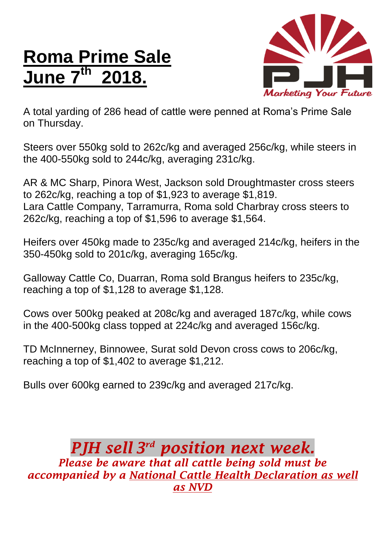## **Roma Prime Sale June 7 th 2018.**



A total yarding of 286 head of cattle were penned at Roma's Prime Sale on Thursday.

Steers over 550kg sold to 262c/kg and averaged 256c/kg, while steers in the 400-550kg sold to 244c/kg, averaging 231c/kg.

AR & MC Sharp, Pinora West, Jackson sold Droughtmaster cross steers to 262c/kg, reaching a top of \$1,923 to average \$1,819. Lara Cattle Company, Tarramurra, Roma sold Charbray cross steers to 262c/kg, reaching a top of \$1,596 to average \$1,564.

Heifers over 450kg made to 235c/kg and averaged 214c/kg, heifers in the 350-450kg sold to 201c/kg, averaging 165c/kg.

Galloway Cattle Co, Duarran, Roma sold Brangus heifers to 235c/kg, reaching a top of \$1,128 to average \$1,128.

Cows over 500kg peaked at 208c/kg and averaged 187c/kg, while cows in the 400-500kg class topped at 224c/kg and averaged 156c/kg.

TD McInnerney, Binnowee, Surat sold Devon cross cows to 206c/kg, reaching a top of \$1,402 to average \$1,212.

Bulls over 600kg earned to 239c/kg and averaged 217c/kg.

## *PJH sell 3 rd position next week. Please be aware that all cattle being sold must be accompanied by a National Cattle Health Declaration as well as NVD*